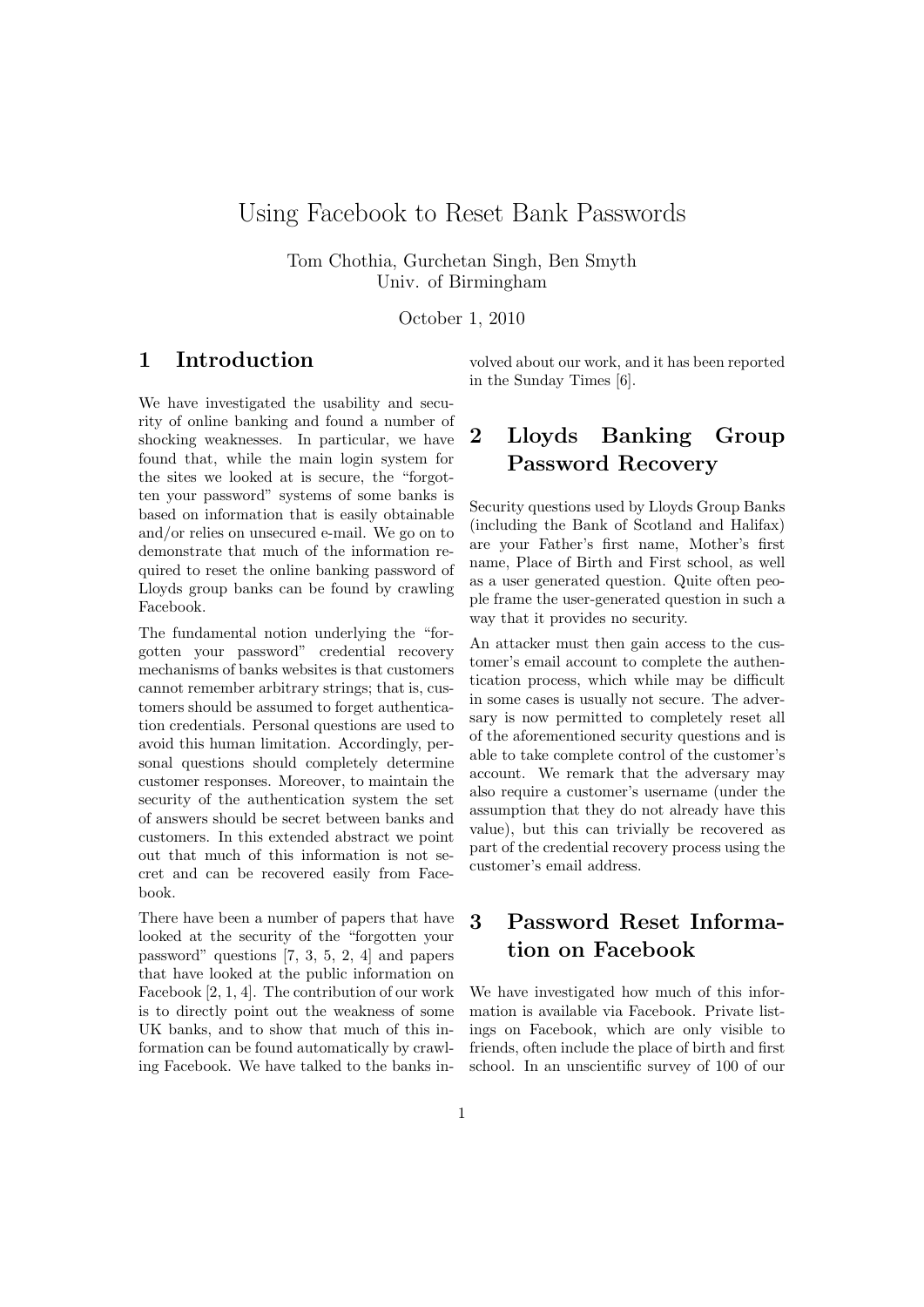## Using Facebook to Reset Bank Passwords

Tom Chothia, Gurchetan Singh, Ben Smyth Univ. of Birmingham

October 1, 2010

## 1 Introduction

We have investigated the usability and security of online banking and found a number of shocking weaknesses. In particular, we have found that, while the main login system for the sites we looked at is secure, the "forgotten your password" systems of some banks is based on information that is easily obtainable and/or relies on unsecured e-mail. We go on to demonstrate that much of the information required to reset the online banking password of Lloyds group banks can be found by crawling Facebook.

The fundamental notion underlying the "forgotten your password" credential recovery mechanisms of banks websites is that customers cannot remember arbitrary strings; that is, customers should be assumed to forget authentication credentials. Personal questions are used to avoid this human limitation. Accordingly, personal questions should completely determine customer responses. Moreover, to maintain the security of the authentication system the set of answers should be secret between banks and customers. In this extended abstract we point out that much of this information is not secret and can be recovered easily from Facebook.

There have been a number of papers that have looked at the security of the "forgotten your password" questions [7, 3, 5, 2, 4] and papers that have looked at the public information on Facebook [2, 1, 4]. The contribution of our work is to directly point out the weakness of some UK banks, and to show that much of this information can be found automatically by crawling Facebook. We have talked to the banks involved about our work, and it has been reported in the Sunday Times [6].

# 2 Lloyds Banking Group Password Recovery

Security questions used by Lloyds Group Banks (including the Bank of Scotland and Halifax) are your Father's first name, Mother's first name, Place of Birth and First school, as well as a user generated question. Quite often people frame the user-generated question in such a way that it provides no security.

An attacker must then gain access to the customer's email account to complete the authentication process, which while may be difficult in some cases is usually not secure. The adversary is now permitted to completely reset all of the aforementioned security questions and is able to take complete control of the customer's account. We remark that the adversary may also require a customer's username (under the assumption that they do not already have this value), but this can trivially be recovered as part of the credential recovery process using the customer's email address.

# 3 Password Reset Information on Facebook

We have investigated how much of this information is available via Facebook. Private listings on Facebook, which are only visible to friends, often include the place of birth and first school. In an unscientific survey of 100 of our